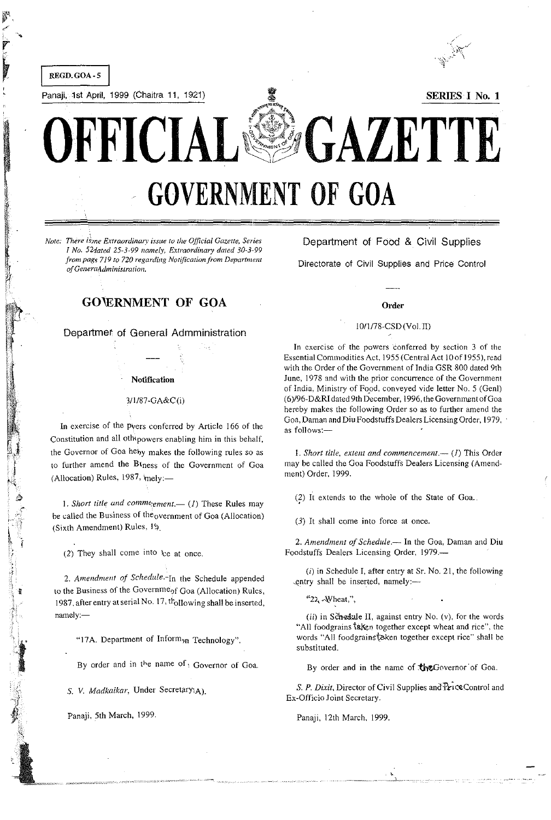

*Note: There is me Extraordinary issue to the Official Gazette, Series I No. 52dated 25-3-99 namely, Extraordinary dated 30-3-99 from pagf;* 719 *to 720 regarding Notification/rom Department*   $of General$ dministration.

Department of Food & Civil Supplies

Directorate of Civil Supplies and Price Control

#### Order

## 10/1/78-CSD(Vol. II)

In exercise of the powers conferred by section 3 of the Essential Commodities Act, 1955 (Central Act 10 of 1955), read with the Order of the Government of India GSR 800 dated 9th June, 1978 and with the prior concurrence of the Government of India, Ministry of Food, conveyed vide letter No. 5 (Gen!) (6)/96-D&RI dated 9th December, 1996, the Government of Goa hereby makes the following Order so as to further amend the Goa, Daman and Diu Foodstuffs Dealers Licensing Order, 1979, as follows:-

1. Short title, extent and commencement.-- (1) This Order may be called the Goa Foodstuffs Dealers Licensing (Amendment) Order, 1999.

(2) It extends to the whole of the State of Goa..

 $(3)$  It shall come into force at once.

2. Amendment of Schedule.- In the Goa, Daman and Diu Foodstuffs Dealers Licensing Order, 1979.-

 $(i)$  in Schedule I, after entry at Sr. No. 21, the following entry shall be inserted, namely :---

*"2L,-* 4Wheat,",

(ii) in Schedule II, against entry No. (v), for the words "All foodgrains taken together except wheat and rice", the words "All foodgrains'taken together except rice" shall be substituted.

By order and in the name of the Governor of Goa.

S. P. Dixit, Director of Civil Supplies and Price Control and Ex-Officio Joint Secretary.

Panaji, 12th March, 1999.

Departmer of General Admministration

GO'ERNMENT OF GOA

#### Notification

,

. ~ 5  $\sim$ 

 $\frac{1}{2}$  i , .<br>ا , '-1

i

## 3/1/87-GA&C(i)

In exercise of the pvers conferred by Article 166 of the Constitution and all oth'powers enabling him in this behalf, the Governor of Goa heby makes the following rules so as to further amend the Btness of the Government of Goa (Allocation) Rules,  $1987$ ,  $mely:$ 

1. Short title and comme<sub>ment</sub>. (1) These Rules may be called the Business of the<sub>overnment</sub> of Goa (Allocation) (Sixth Amendment) Rules, I\).

(2) They shall come into  $\;$  at once.

*2. Amendment of Schedule.-In* the Schedule appended to the Business of the Governme<sub>of Goa</sub> (Allocation) Rules, 1987, after entry at serial No.  $17,$   $t_{\text{ollowing shall be inserted}}$ , namely:-

"17A. Department of Inform<sub>on</sub> Technology".

By order and in the name of y Governor of Goa.

S. *V. Madkaikar,* Under SecretarYiA).

Panaji, 5th March, 1999.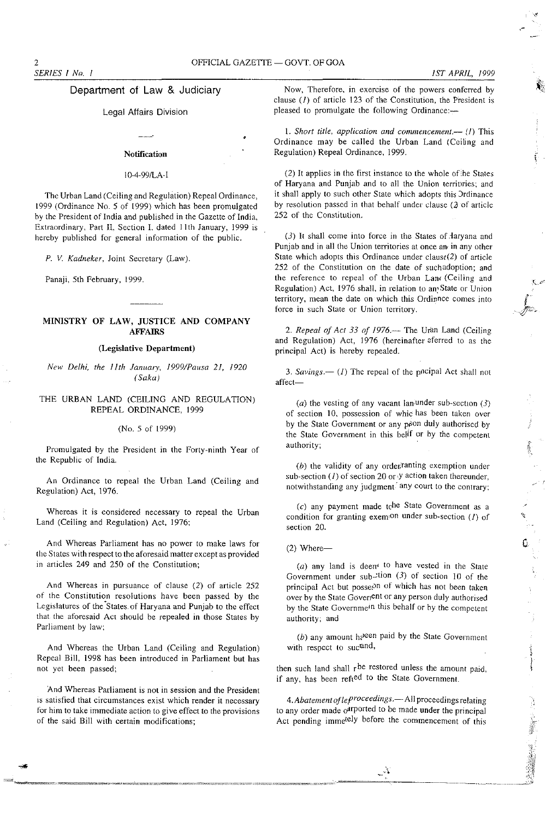## Department of Law & Judiciary

## Legal Affairs Division

#### **Notification**

#### IO-4-99/LA-I

The Urban Land (Ceiling and Regulation) Repeal Ordinance, 1999 (Ordinance No.5 of 1999) which has been promulgated by the President of India and published in the Gazette of India, Extraordinary, Part II, Section I. dated 11th January, 1999 is hereby published for general information of the public.

*P.* V. *Kadneker,* Joint Secretary (Law).

Panaji, 5th February, 1999.

## MINISTRY OF LAW, JUSTICE AND COMPANY AFFAIRS

## (Legislative Department)

*New Delhi, the 11th January, 19991Pausa* 21, *1920 (Saka)* 

## THE URBAN LAND (CEILING AND REGULATION) REPEAL ORDINANCE, 1999

#### (No.5 of 1999)

Promulgated by the President in the Forty-ninth Year of the Republic of India.

An Ordinance to repeal the Urban Land (Ceiling and Regulation) Act, 1976.

Whereas it is considered necessary to repeal the Urban Land (Ceiling and Regulation) Act, 1976;

And Whereas Parliament has no power to make laws for the States with respect to the aforesaid matter except as provided in articles 249 and 250 of the Constitution;

And Whereas in pursuance of clause (2) of article 252 of the Constitution resolutions have been passed by the Legislatures of the States of Haryana and Punjab to the effect that the aforesaid Act should be repealed in those States hy Parliament by law;

And Whereas the Urban Land (Ceiling and Regulation) Repeal Bill, 1998 has been introduced in Parliament but has not yet been passed;

And Whereas Parliament is not **in** session and the President is satisfied that circumstances exist which render it necessary for him to take immediate action to give effect to the provisions of the said Bill with certain modifications;

Now, Therefore. **in** exercise of the powers conferred by clause  $(I)$  of article 123 of the Constitution, the President is pleased to promulgate the following Ordinance:-

1. *Short title, application and commencement.-* (l) This Ordinance may be called the Urban Land (Ceiling and Regulation) Repeal Ordinance, 1999.

 $(2)$  It applies in the first instance to the whole of the States of Haryana and Punjab and to all the Union territories; and it shall apply to such other State which adopts this Jrdinance by resolution passed in that behalf under clause  $(2)$  of article 252 of the Constitution.

 $(3)$  It shall come into force in the States of daryana and Punjab and in all the Union territories at once and in any other State which adopts this Ordinance under claus $(2)$  of article 252 of the Constitution on the date of such adoption; and the reference to repeal of the Urban Land (Ceiling and Regulation) Act, 1976 shall, in reiation to an;State or Union territory, mean the date on which this Ordinnee comes into force in such State or Union territory.

2. Repeal of Act 33 of 1976. $-$  The Uran Land (Ceiling and Regulation) Act, 1976 (hereinafter eferred to as the principal Act) is hereby repealed.

3. Savings. $\left\langle -\frac{1}{1}\right\rangle$  The repeal of the pncipal Act shall not affect-

(a) the vesting of any vacant lan-under sub-section  $(3)$ of section 10, possession of whic has been taken over by the State Government or any poon duly authorised by the State Government in this belf or by the competent authority;

 $(b)$  the validity of any order anting exemption under sub-section  $(I)$  of section 20 or y action taken thereunder, notwithstanding any judgment<sup>2</sup> any court to the contrary;

 $(c)$  any payment made tche State Government as a condition for granting exemion under sub-section  $(1)$  of section 20.

## $(2)$  Where--

(a) any land is deem<sup>t</sup> to have vested in the State Government under sub- $x$ tion (3) of section 10 of the principal Act but possepn of which has not been taken over by the State Goverient or any person duly authorised by the State Governme<sup>in this behalf or by the competent</sup> authority; and

(b) any amount he seen paid by the State Government with respect to suc<sup>rand</sup>,

then such land shall  $r^{be}$  restored unless the amount paid, if any, has been refied to the State Government.

*4. Abatement oflefroceedings.-* All proceedings relating to any order made  $o^{(1)}$  ported to be made under the principal Act pending imme<sup>tely</sup> before the commencement of this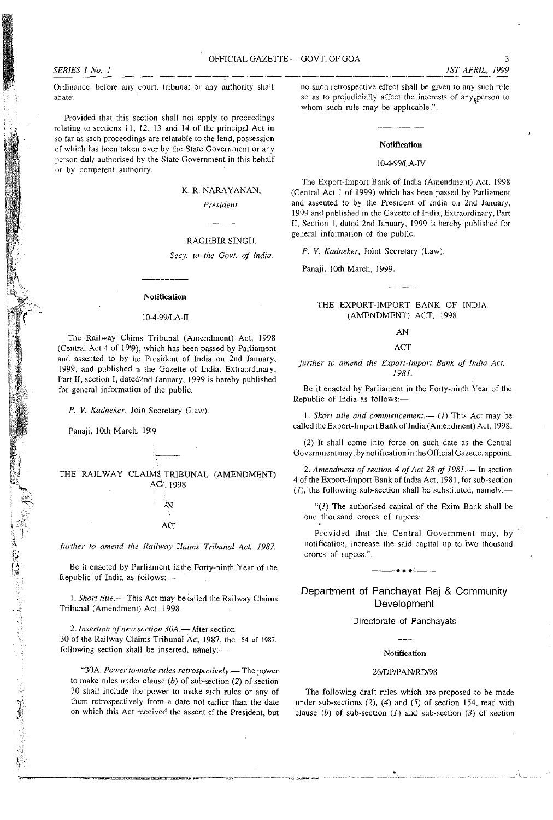**Ordinance, before any court, tribunal or any authority shall abate:** 

Provided that this section shall not apply to proceedings relating to sections 11, 12, 13 and 14 of the principal Act in **so far as** *such* **proceedings are relatable to the land, possession of which tas been taken over by the State Government or any**  person duly authorised by the State Government in this behalf or by competent authority.

# K. R. NARAYANAN,

*President.* 

### RAGHBIR SINGH,

*Secy. to the Govt. of India.* 

#### **Notification**

#### 1O~4~99ILA~I1

The Railway Chims Tribunal (Amendment) Act, 1998 (Central Act 4 of 19'9), which has been passed by Parliament and assented to by he President of India on 2nd January, 1999, and published n the Gazette of India, Extraordinary, Part II, section I, dated2nd January, 1999 is hereby published for general information of the public.

*P.* V. *Kadneker,* Join Secretary (Law).

Panaji, 10th March, 1999

 $\sim$ 

THE RAILWAY CLAIMS TRIBUNAL (AMENDMENT) Ad:,1998

> ΑN **AC<sub>T</sub>**

## further to amend the Railway Claims Tribunal Act, 1987.

Be it enacted by Parliament in the Forty-ninth Year of the Republic of India as follows:-

1. *Short title.*-- This Act may be talled the Railway Claims Tribunal (Amendment) Act, 1998.

*2. Insertion afnew section 30A.-* **After section**  30 of the Railway Claims Tribunal Act, 1987, the 54 of 1987. following section shall be inserted, namely:-

**·'30A.** *Power to-make rules retrospectively.-* **The power**  to make rules under clause  $(b)$  of sub-section (2) of section 30 shall include the power to make such rules or any of **them retrospectively from a date not earlier than the date**  on which this Act received the assent of the President, but **no such retrospective effect shall be given to any such rule**  so as to prejudicially affect the interests of any<sub>s</sub>person to whom such rule may be applicable.".

## Notification

#### 10-4-991LA-N

The Export-Import Bank of India (Amendment) Act. 1998 (Central Act I of 1999) which has been passed by Parliament and assented to by the President of India on 2nd January, 1999 and published in the Gazette of India, Extraordinary, Part II, Section I, dated 2nd January, 1999 is hereby published for **general information of the public.** 

*P. V. Kadneker,* Joint Secretary (Law).

Panaji, 10th March, 1999.

## THE EXPORT-IMPORT BANK OF INDIA (AMENDMENT) ACT, 1998

#### AN

#### ACT

*further to amend the Export-Import Bank of India Act.*  1981. ,

**Be it enacted by Parliament in the Forty-ninth Year of the**  Republic of India as follows:-

1. *Short title and commencement.*—  $(I)$  This Act may be called the Export-Import Bank of India (Amendment) Act, 1998.

(2) It shall come into force on such date as the Central **Government may, by notification in the Official Gazette, appoint.** 

*2. Amendment of section* 4 *of Act* 28 *of 1981.-* In section 4 of the Export-Import Bank of India Act, 1981, for sub-section  $(I)$ , the following sub-section shall be substituted, namely:-

*"(I)* The authorised capital of the Exim Bank shall be **one thousand crores of rupees:** 

Provided that the Central Government may, by notification, increase the said capital up to two thousand **crores of rupees.".**  ---... -' --

## Department of Panchayat Raj & Community **Development**

#### Directorate of Panchayats

## Notification

#### 26/DP/PAN/RD/98

The following draft rules which are proposed to be made under sub-sections  $(2)$ ,  $(4)$  and  $(5)$  of section 154, read with clause (b) of sub-section *(I)* and sub-section (3) of section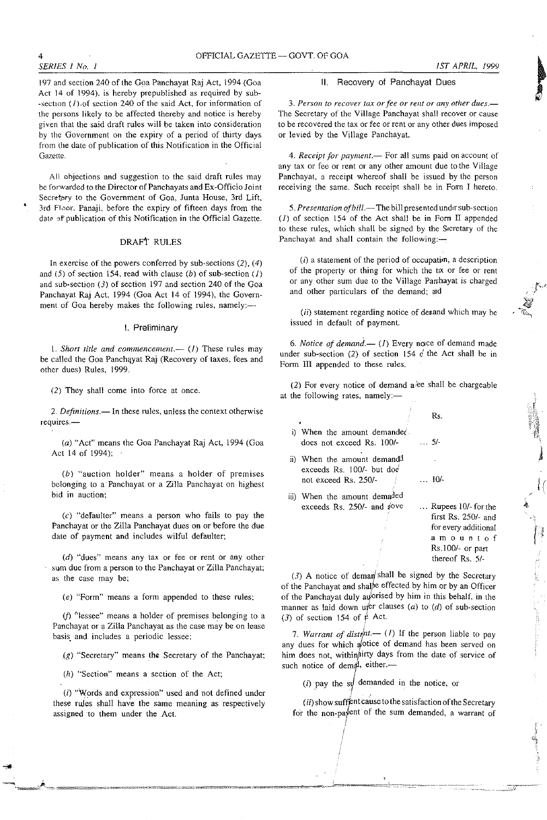*SERIES I No. I* 

•

197 and section 240 of the Goa Panchayat Raj Act, 1994 (Goa Act 14 of 1994). is hereby prepublished as required by sub- -section (*l*).of section 240 of the said Act, for information of the persons likely to be affected thereby and notice is hereby **given that the said draft rules will be taken into consideration**  by the Government on the expiry of a period of thirty days from the date of publication of this Notification in the Official **Gazette.** 

**All ohjections and suggestion to the said draft rules may be forwarded to the Director ofPanchayats and Ex-Officio Ioint**  Secretary to the Government of Goa, Junta House, 3rd Lift, 3rd F10or. Panaji, before thc expiry of fifteen days from the date of publication of this Notification in the Official Gazette.

## DRAft RULES

In exercise of the powers conferred by sub-sections  $(2)$ ,  $(4)$ and (5) of section 154, read with clause (b) of sub-section *(I)*  and sub-section (3) of section 197 and section 240 of the Goa Panchayat Raj Act, 1994 (Goa Act 14 of 1994), the Government of Goa hereby makes the following rules, namely:-

### I. Preliminary

**1.** *Short title and conunencemenl.-* **(l) These rules may**  be called the Goa Panchayat Raj (Recovery of taxes, fees and other dues) Rules, 1999.

(2) They shall come into force at once.

*2. Definitions.-* **In these rules, unless the context otherwise requlres.-**

(a) "Act" means the Goa Panchayat Raj Act, 1994 (Goa Act 14 of 1994);

(b) "auction holder" means a holder of premises **belonging to a' Panchayat or a Zilla Panchayat on highest bid in auction;** 

(c) "defaulter" means a person who fails to pay the Panchayat or the Zilla Panchayat dues on or before the due date of payment and includes wilful defaulter;

**(d) "dues" means any tax or fee or rent or any. other**  sum due from a person to the Panchayat or Zilla Panchayat; **as the case may be;** 

(e) "Form" means a form appended to these rules;

**(j) :'Jessee" means a holder of premises** b~longing **to a**  Panchayat or a Zilla Panchayat as the case may be on lease **basis, and includes a periodic lessee;** 

 $(g)$  "Secretary" means the Secretary of the Panchayat;

(h) "Section" means a section of the Act;

(i) "Words and expression" used and not defined under these rules shall have the same meaning as respectively **assigned ·to them under the Act.** 

### II. Recovery of Panchayat Dues

*3. Person to recover tax orfee or rent or any other dues.-* The Secretary of the Village Panchayat shall recover or cause **to be recovered the tax or fee or rent or any other dues imposed**  or levied by the Village Panchayat.

4. Receipt for payment.- For all sums paid on account of **any tax or fee or rent or any other amount due to the Village**  Panchayat, a receipt whereof shall be issued by the person **receiving the same. Such receipt shall be in Form I hereto.** 

5. Presentation of bill.--The bill presented under sub-section *(I)* of section 154 of the Act shall be in Forn II appended **to these rules, which shall be signed by the Sfcretary of the Panchayat and shall contain the following:-**

*(i)* **a statement of the period of occupatim, a description**  of the property or thing for which the tw or fee or rent **or any other sum due to the Village Pan:hayat is charged and other particulars of the demand; aid** 

*(ii)* statement regarding notice of denand which may be issued in default of payment.

6. Notice of demand. $-$  (1) Every noice of demand made under sub-section (2) of section 154  $\acute{\text{c}}$  the Act shall be in Form III appended to these rules.

(2) For every notice of demand a/ee shall be chargeable at the following rates, namely:-

- i) When the amount demanded does not exceed Rs. 100/- ... 5/-
- ii) When the amount demandd exceeds Rs. 100/- but doe not exceed Rs. 250/-
- iii) When the amount demaded exceeds Rs. 250/- and dove

... Rupees 10/- forthe first Rs. 250/- and for every additional **amountof**  Rs.IOO/- or part thereof Rs. 5/-

 $\frac{1}{2}$ 

II

 $\int_{0}^{\infty}$  $\sum_{i=1}^n$ "J

Rs.

... 10/-

(3) A notice of deman<sup> $\sinh$ </sup> shall be signed by the Secretary of the Panchayat and shalpe effected by him or by an Officer of the Panchayat duly auorised by him in this behalf, in the manner as laid down uter clauses  $(a)$  to  $(d)$  of sub-section (3) of section 154 of  $\phi$  Act.

*7. Warrant of distrit.*— (*I*) If the person liable to pay **any dues for which afotice of demand has been served on**  him does not, within firty days from the date of service of such notice of demal, either.-(i) at the person has<br>the store of demand has been<br>oes not, within actice of demand has been<br>notice of demanded in the notice, or<br>(ii) pay the symparated in the notice, or<br>(ii) show suffer the satisfaction of the

I

 $(ii)$  show suffent cause to the satisfaction of the Secretary **for the non-pajent of the sum demanded, a warrant of**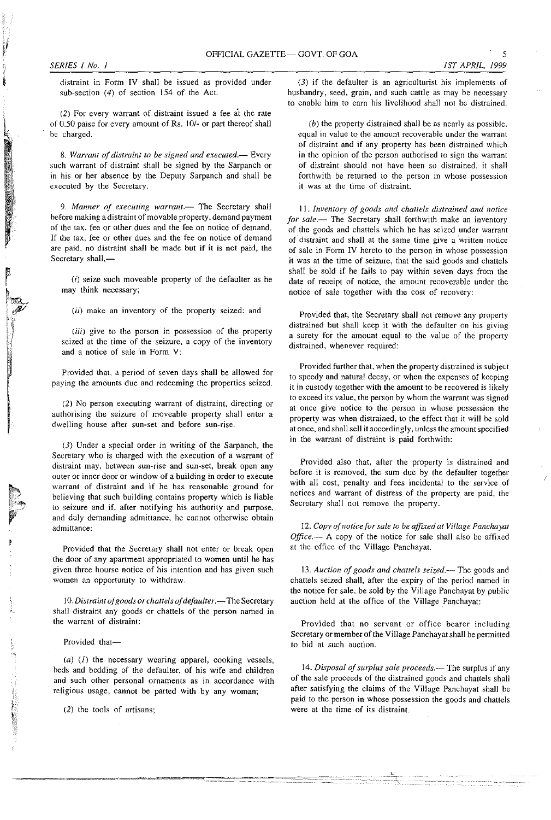**distraint in Form IV shall be issued as provided under**  sub-section (4) of section 154 of the Act.

**(2) For every warrant of distraint issued a fee at the rate**  of 0.50 paise for every amount of Rs. 10/- or part thereof shall **be charged.** 

*8. Warrant of distraint to be signed and executed.-* **Every**  such warrant of distraint shall be signed by the Sarpanch or in his or her absence by the Deputy Sarpanch and shall be **executed by the Secretary.** 

9. Manner of executing warrant.- The Secretary shall **hefore making a distraint of movable property, demand payment of the tax, fee or other dues and the fee on notice of demand. If the tax, fee or other dues and the fee on notice of demand**  are paid, no distraint shall be made but if it is not paid, the Secretary shall,-

 $(i)$  seize such moveable property of the defaulter as he **may think necessary;** 

*(ii)* **make an inventory of the property seized; and** 

*(iii)* **give to the person in possession of the property seized at the time of the seizure, a copy of the inventory and a notice of sale in Form V:** 

Provided that. a period of seven days shall be allowed for **paying the amounts due and redeeming the properties seized.** 

**(2) No person executing wan'ant of distraint, directing or authorising the seizure of moveable property shall enter a dweIIing house after sun-set and before sun-rise.** 

(3) Under a special order in writing of the Sarpanch, the **Secretary who is charged with the execution of a warrant of distraint may, between sun-rise and sun-set, break open any outer or inner door or window of a building in order to execute warrant of distraint and if he has reasonable ground for**  believing that such building contains property which is liable **to seizure and if, after notifying his authority and purpose, and duly demanding admittance, he cannot otherwise obtain admittance:** 

Provided that the Secretary shall not enter or break open the door of any apartment appropriated to women until he has **given three hourse notice of his intention and has given such women an opportunity to withdraw.** 

10. Distraint of goods or chattels of defaulter.-The Secretary **shall distraint any goods or chattels of the person named in the warrant of distraint:** 

Provided that-

 $(a)$  (1) the necessary wearing apparel, cooking vessels, beds and bedding of the defaulter, of his wife and children **and such other personal ornaments as in accordance with religious usage, cannot be parted with by any woman;** 

. --.,,= .. ,=-====-'"'.-""C==-~~- ~~=====

(2) the tools of artisans;

(3) if the defaulter is an agriculturist his implements of **husbandry, seed, grain, and such cattle as may be necessary**  to enable him to earn his livelihood shall not be distrained.

(b) the property distrained shall be as nearly as possible, **equal in value to the amount recoverable under the warrant**  of distraint and if any property has been distrained which **in the opinion of the person authorised to sign the warrant of distraint should not have been so distrained. it shall forthwith be returned to the person in whose possession**  it was at the time of distraint.

11. Inventory of goods and chattels distrained and notice for sale.- The Secretary shall forthwith make an inventory **of the goods and chattels which he has seized under warrant**  of distraint and shall at the same time give a written notice **of sale in FOim IV hereto to the person in whose possession it was at the time of seizure, that the said goods and chattels**  shall be sold if he fails to pay within seven days from the **date of receipt of notice, the amount recoverable under the notice of sale together with the cost of recovery:** 

Provided that, the Secretary shall not remove any property **distrained but shall keep it with the defaulter on his giving a surety for the amount equal to the value of the property distrained, whenever required:** 

**Provided further that, when the property distrained is subject to speedy and·natural decay, or when the expenses of keeping it in custody together with the amount to be recovered is likely to exceed its value, the person by whom the warrant was signed at once give notice to the person in whose possession the**  property was when distrained, to the effect that it will be sold **at once, and shall sell it accordingly, unless the amount specified in the warrant of distraint is paid forthwith:** 

Provided also that, after the property is distrained and **before it is removed, the sum due by the defaulter together with all cost, penalty and fees incidental to the service of**  notices and warrant of distress of the property are paid, the **Secretary shall not remove the property.** 

12. Copy of notice for sale to be affixed at Village Panchayat *Office.* - A copy of the notice for sale shall also be affixed at the office of the Village Panchayat.

13. Auction of goods and chattels seized.--- The goods and chattels seized shall, after the expiry of the period named in the notice for sale, be sold by the Village Panchayat by public auction held at the office of the Village Panchayat:

**Provided that no servant or office bearer including**  Secretary or member of the Village Panchayat shall be permitted **to bid at such auction.** 

14. Disposal of surplus sale proceeds.<sup>---</sup> The surplus if any of the sale proceeds of the distrained goods and chattels shall after satisfying the claims of the Village Panchayat shall be paid to the person in whose possession the goods and chattels **were at the time of its distraint.**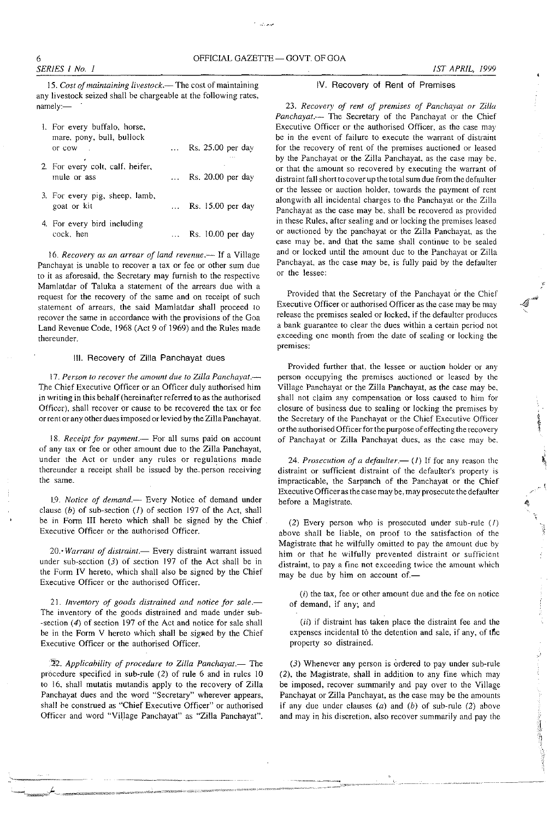للمعادية

15. Cost of maintaining livestock.-The cost of maintaining **any livestock seized shall be chargeable at the following rates,**  namely:-

| 1. For every buffalo, horse,<br>mare, pony, bull, bullock |              |                            |
|-----------------------------------------------------------|--------------|----------------------------|
| or cow                                                    | $\mathbf{1}$ | Rs. 25.00 per day          |
| 2. For every colt, calf, heifer,<br>mule or ass           | $\cdots$     | Rs. 20.00 per day          |
| 3. For every pig, sheep, lamb,<br>goat or kit             |              | $\ldots$ Rs. 15.00 per day |
| 4. For every bird including<br>cock, hen                  |              | Rs. 10.00 per day          |

*16. Recovery as an arrear of land revenue.-* **If a Village Panchayat is unable to recover a tax or fee or other sum due to it as aforesaid, the Secretary may furnish to the respective Mamlatdar of Taluka a statement of the arrears due with a request for the recovery of the same and on receipt of such statement of arrears, the said Mamlatdar shall proceed to recover the same in accordance with the provisions of the Goa**  Land Revenue Code, 1968 (Act 9 of 1969) and the Rules made **thereunder.** 

### III. Recovery of Zilla Panchayat dues

17. Person to recover the amount due to Zilla Panchayat.-The Chief Executive Officer or an Officer duly authorised him **in writing in this behalf (hereinafter referred to as the authorised**  Officer), shall recover or cause to be recovered the tax or fee or rent or any other dues imposed or levied by the Zilla Panchayat.

18. Receipt for payment.- For all sums paid on account **of any tax or fee or other amount due to the Zilla Panchayat,**  under the Act or under any rules or regulations made **thereunder a receipt shaH be issued by the. person receiving the same.** 

19. Notice of demand.-- Every Notice of demand under clause (b) of sub-section *(I)* of section 197 of the Act, shall be in Form III hereto which shall be signed by the Chief **Executive Officer or the authorised Officer.** 

**20.-** *Warrant of distraint.-* **Every distraint warrant issued**  under sub-section  $(3)$  of section 197 of the Act shall be in the Form IV hereto, which shall also be signed by the Chief Executive Officer or the authorised Officer.

*21. Inventory of goods distrained and notice for sale.-* **The inventory of the goods distrained and made under sub-** -section (4) of section 197 of the Act and notice for sale shall be in the Form V hereto which shall be signed by the Chief Executive Officer or the authorised Officer.

 $22$ . Applicability of procedure to Zilla Panchayat.- The procedure specified in sub-rule (2) of rule 6 and in rules 10 to 16. shail mutatis mutandis apply to the recovery of Zilla **Panchayat dues and the word "Secretary" wherever appears, shall he construed as "Chief Executive Officer" or authorised**  Officer and word "Village Panchayat" as "Zilla Panchayat".

## IV. Recovery of Rent of Premises

23. Recovery of rent of premises of Panchayat or Zilla *Panchayat.*-- The Secretary of the Panchayat or the Chief **Executive Officer or the authorised Officer, as the case may**  be in the event of failure to execute the warrant of distraint **for the recovery of rent of the premises auctioned or leased**  by the Panchayat or the Zilla Panchayat, as the case may be. **or that the amount so recovered by executing the warrant of distraint fall short to** cover up **the total sum due from thedefaulter or the lessee or auction holder, towards the payment of rent alongwith all incidental charges to the Panchayat or the Zilla Panchayat as the case may be, shall be recovered as provided in these Rules, after sealing and or locking the premises leased**  or auctioned by the panchayat or the Zilla Panchayat, as the **case may be, and that the same shall continue to be sealed**  and or locked until the amount due to the Panchayat or Zilla Panchayat, as the case may be, is fully paid by the defaulter **or the lessee:** 

Provided that the Secretary of the Panchayat or the Chief **Executive Officer or authorised Officer as the case may be may release the premises sealed or locked, if the defaulter produces a bank guarantee to clear the dues within a certain period not exceeding one month from the date of sealing or locking the premises:** 

Provided further that, the lessee or auction holder or any **person occupying the premises auctioned or leased by the**  Village Panchayat or the Zilla Panchayat, as the case may be. **shall not claim any compensation or loss caused to him for closure of business due to sealing or locking the premises by**  the Secretary of the Panchayat or the Chief Executive Officer or the authorised Officer for the purpose of effecting the recovery of Panchayat or Zilla Panchayat dues, as the case may be.

24. Prosecution of a defaulter.-- (1) If for any reason the **distraint or sufficient distraint of the defaulter's property is**  impracticable, the Sarpanch of the Panchayat or the Chief **Executive Officer as the case may be, may prosecute the defaulter before a Magistrate.** 

(2) Every person who is prosecuted under sub-rule  $(1)$ above shall be liable, on proof to the satisfaction of the Magistrate that he wilfully omitted to pay the amount due by him or that he wilfully prevented distraint or sufficient **distraint, to pay a fine not exceeding twice the amount which**  may be due by him on account of.-

*(i)* **the tax, fee or other amount due and the fee on notice**  of demand, if any; and

(ii) if distraint has taken place the distraint fee and the expenses incidental to the detention and sale, if any, of the **property so distrained.** 

(3) Whenever any person is ordered to pay under sub-rule (2), the Magistrate, shall in addition to any fine which may **be imposed, recover summarily and pay over to the Village**  Panchayat or Zilla Panchayat, as the case may be the amounts if any due under clauses  $(a)$  and  $(b)$  of sub-rule  $(2)$  above **and may in his discretion, also recover summarily and pay the** 

1000年1月18日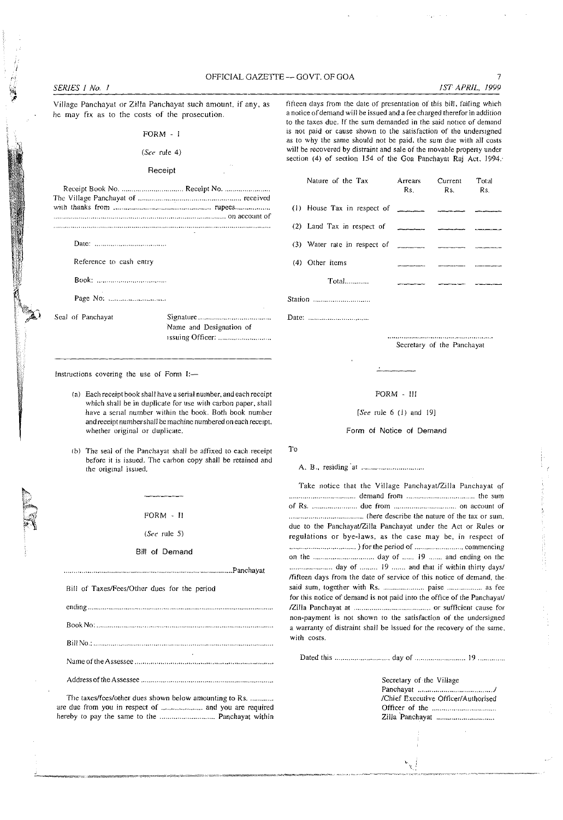## OFFICIAL GAZETTE -- GOVT. OF GOA 7

### *SERIES I No. I 1ST APRIL, 1999*

Village Panchayat or Zilla Panchayat such amount, if any, as he may fix as to the costs of the prosecution.

## FORM - I

### *(See* rule 4)

## Receipt

Date:

Reference to cash entry

Book: ...... .

Page No:

Seal of Panchayat Signature .................................... .

Name and Designation of Issuing Officer: .......................... .

Instructions covering the use of Form I:-

- (a) Each receipt book shall have a serial number, and each receipt which shall be in duplicate for use with carbon paper, shall have a serial number within the book. Both book number and receipt number shall be machine numbered on each receipt, whether original or duplicate.
- (b) The seal of the Panchayat shall be affixed to each receipt before it is issued. The carbon copy shall be retained and the original issued.

FORM - II

(See rule 5)

Bill of Demand

.................................................................................. Panchayat Bill of Taxes/Fees/Other dues for the period ending ....... BookNo: .. Bill No.: ... Name of the Assessee . Address of the Assessee ................................................................ .

The taxes/fees/other dues shown below amounting to Rs. ............ arc due from you in respect of ..................... and you arc required hereby to pay the same to the ............................ Panchayat within

fifteen days from the date of presentation of this bill. failing which a notice of demand will be issued and a fee charged therefor in addition to the taxes duc. If the sum demanded in the said notice of demand is not paid or cause shown to the satisfaction of the undersigned

as to why the same should not be paid, the sum due with all costs will be recovered by distraint and sale of the movable property under section (4) of section 154 of the Goa Panchayat Raj Act. 1994.

Arrears

|                                                                                                                                                                                                                                                                                                            | Rs. Rs. Rs. |  |
|------------------------------------------------------------------------------------------------------------------------------------------------------------------------------------------------------------------------------------------------------------------------------------------------------------|-------------|--|
| (1) House Tax in respect of $\frac{1}{2}$ $\frac{1}{2}$ $\frac{1}{2}$ $\frac{1}{2}$ $\frac{1}{2}$                                                                                                                                                                                                          |             |  |
|                                                                                                                                                                                                                                                                                                            |             |  |
| (3) Water rate in respect of $\frac{1}{2}$ $\frac{1}{2}$ $\frac{1}{2}$ $\frac{1}{2}$ $\frac{1}{2}$ $\frac{1}{2}$ $\frac{1}{2}$ $\frac{1}{2}$ $\frac{1}{2}$ $\frac{1}{2}$ $\frac{1}{2}$ $\frac{1}{2}$ $\frac{1}{2}$ $\frac{1}{2}$ $\frac{1}{2}$ $\frac{1}{2}$ $\frac{1}{2}$ $\frac{1}{2}$ $\frac{1}{2}$ $\$ |             |  |
| (4) Other items                                                                                                                                                                                                                                                                                            |             |  |
| $Total$                                                                                                                                                                                                                                                                                                    |             |  |
| Station                                                                                                                                                                                                                                                                                                    |             |  |

Date: ............................. .

Nature of the Tax

Secretary of the Panchayat

Current

#### FORM - III

*[See* rule 6 (I) and 19J

#### Form of Notice of Demand

To

A. B., residing "at ........

Take notice that the Village Panchayat/Zilla Panchayat of demand from .................................. the sum of Rs ........................ due from ................................ on account of ...................................... (here describe the nature of the tax or sum. due to the Panchayat/Zilla Panchayat under the Act or Rules or regulations or bye-laws, as the case may be, in respect of .................................. ) for the period of ......................... commencing on the ............................... day of ...... 19 ....... and ending on the ...................... day of ......... 19 ....... and that if within thirty days/ /fifteen days from the date of service of this notice of demand, the said sum, together with Rs. .......................... paise ..................... as fee for this notice of demand is not paid into the office of the Panchayat/ !Zilla Panchayat at ....................................... or sufficient cause for non-payment is not shown to the satisfaction of the undersigned a warranty of distraint shall be issued for the recovery of the samc, with costs.

Dated this ............................ day of .. 19

 $\mathbf{v}_k$ 

Secretary of the Village Panchayat ....................... *. ... .1*  /Chief Executive Officer/Authorised Officer of the ........ . Zilla 'Panchayat ............................ ..

Total